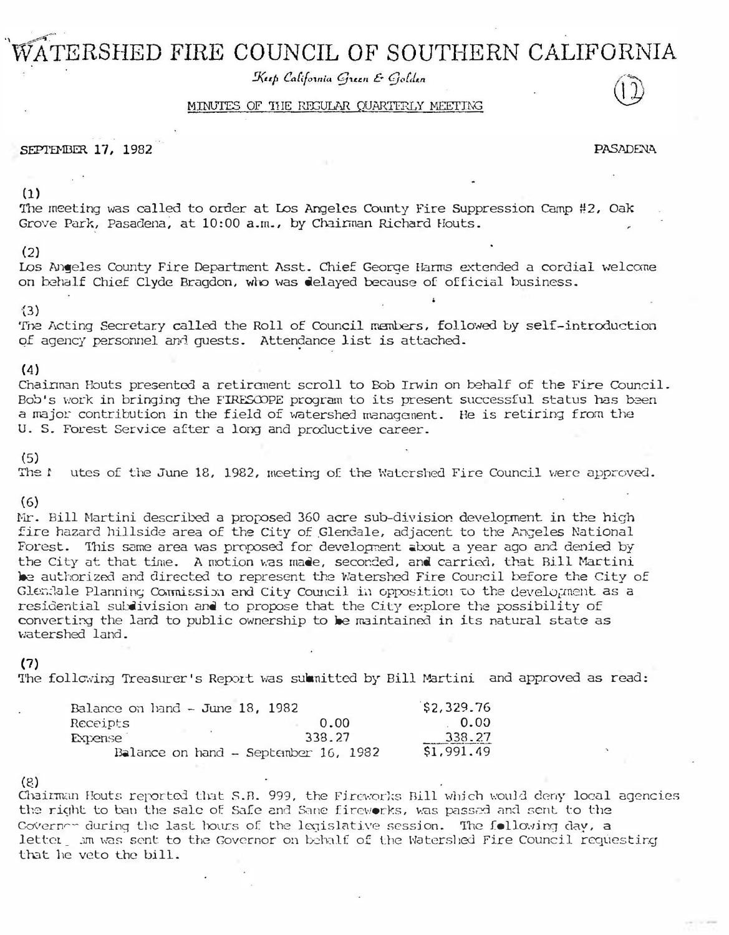# TERSHED FIRE COUNCIL OF SOUTHERN CALIFORNIA

Keep California Green & Golden

# MINUTES OF THE REGULAR QUARTERLY MEETING

SEPTEMBER 17, 1982 PASADENA

(1)

The meeting was called to order at Los Angeles County Fire Suppression camp #2, Oak Grove Park, Pasadena, at 10:00 a.m., by Chainman Richard Houts.

## (2)

Los Angeles County Fire Department Asst. Chief Georoe Harms extended a cordial welcane on behalf Chief Clyde Bragdon, who was delayed because of official business.

#### -{3)

'The Acting Secretary called the Roll of Council members, followed by self-introduction of agency personnel and quests. Attendance list is attached.

# (4)

Cnairman Houts presented a retirement scroll to Bob Invin on behalf of the Fire Council. Bob's work in bringing the FIRESCOPE program to its present successful status has been a major contribution in the field of watershed management. He is retiring from the U. S. Forest Service after a long and productive career.

(5) utes of the June 18, 1982, meeting of the Watershed Fire Council were approved.

## (6)

Mr. Bill Martini described a proposed 360 acre sub-division development in the high fire hazard hillside area of the City of Glendale, adjacent to the Angeles National Forest. This same area was proposed for development about a year ago and denied by the City at that time. A motion was made, seconded, and carried, that Bill Martini be authorized and directed to represent the Watershed Fire Council before the City of the City at that time. A motion was made, seconded, and carried, that Bill Martini<br>De authorized and directed to represent the Watershed Fire Council before the City of<br>Glendale Planning Commission and City Council in oppo residential subdivision and to propose that the City explore the possibility of converting the land to public ownership to be maintained in its natural state as watershed land.

## (7}

The following Treasurer's Report was submitted by Bill Martini and approved as read:

| Balance on $land - June 18$ , 1982 |                                        | \$2,329.76 |
|------------------------------------|----------------------------------------|------------|
| Receipts                           | 0.00                                   | 0.00       |
| <b>Expense</b>                     | 338.27                                 | 338.27     |
|                                    | Balance on hand $-$ September 16, 1982 | \$1,991.49 |

# {8)

Chairm; Fouts reported that S.B. 999, the Fireworks Bill which would deny local agencies the right to ban the sale of Safe and Sane fireworks, was passed and sent to the Governer during the last hours of the legislative session. The following day, a letter... A was sent to the Governor on behalf of the Watersled Fire Council requestir.g that he veto the bill.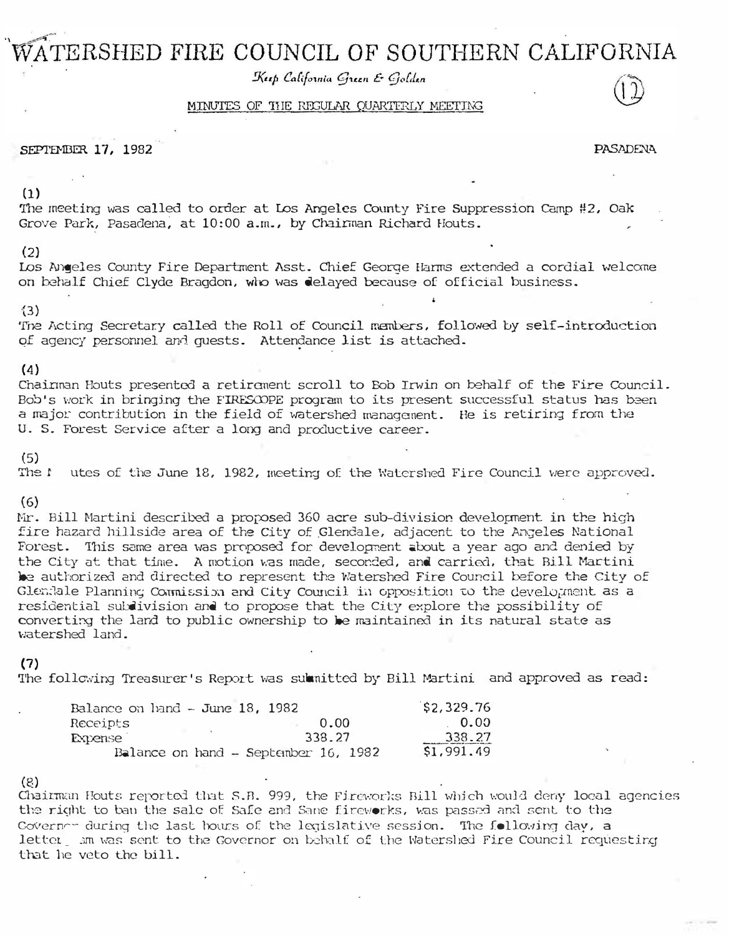# TERSHED FIRE COUNCIL OF SOUTHERN CALIFORNIA

Keep California Green & Golden

# MINUTES OF THE REGULAR QUARTERLY MEETING

SEPTEMBER 17, 1982 PASADENA

(1)

The meeting was called to order at Los Angeles County Fire Suppression camp #2, Oak Grove Park, Pasadena, at 10:00 a.m., by Chainman Richard Houts.

## (2)

Los Angeles County Fire Department Asst. Chief Georoe Harms extended a cordial welcane on behalf Chief Clyde Bragdon, who was delayed because of official business.

#### -{3)

'The Acting Secretary called the Roll of Council members, followed by self-introduction of agency personnel and quests. Attendance list is attached.

# (4)

Cnairman Houts presented a retirement scroll to Bob Invin on behalf of the Fire Council. Bob's work in bringing the FIRESCOPE program to its present successful status has been a major contribution in the field of watershed management. He is retiring from the U. S. Forest Service after a long and productive career.

(5) utes of the June 18, 1982, meeting of the Watershed Fire Council were approved.

# (6)

Mr. Bill Martini described a proposed 360 acre sub-division development in the high fire hazard hillside area of the City of Glendale, adjacent to the Angeles National Forest. This same area was proposed for development about a year ago and denied by the City at that time. A motion was made, seconded, and carried, that Bill Martini be authorized and directed to represent the Watershed Fire Council before the City of the City at that time. A motion was made, seconded, and carried, that Bill Martini<br>De authorized and directed to represent the Watershed Fire Council before the City of<br>Glendale Planning Commission and City Council in oppo residential subdivision and to propose that the City explore the possibility of converting the land to public ownership to be maintained in its natural state as watershed land.

## (7}

The following Treasurer's Report was submitted by Bill Martini and approved as read:

| Balance on $land - June 18$ , 1982 |                                        | \$2,329.76 |
|------------------------------------|----------------------------------------|------------|
| Receipts                           | 0.00                                   | 0.00       |
| <b>Expense</b>                     | 338.27                                 | 338.27     |
|                                    | Balance on hand $-$ September 16, 1982 | \$1,991.49 |

# {8)

Chairm; Fouts reported that S.B. 999, the Fireworks Bill which would deny local agencies the right to ban the sale of Safe and Sane fireworks, was passed and sent to the Governer during the last hours of the legislative session. The following day, a letter... A was sent to the Governor on behalf of the Watersled Fire Council requestir.g that he veto the bill.